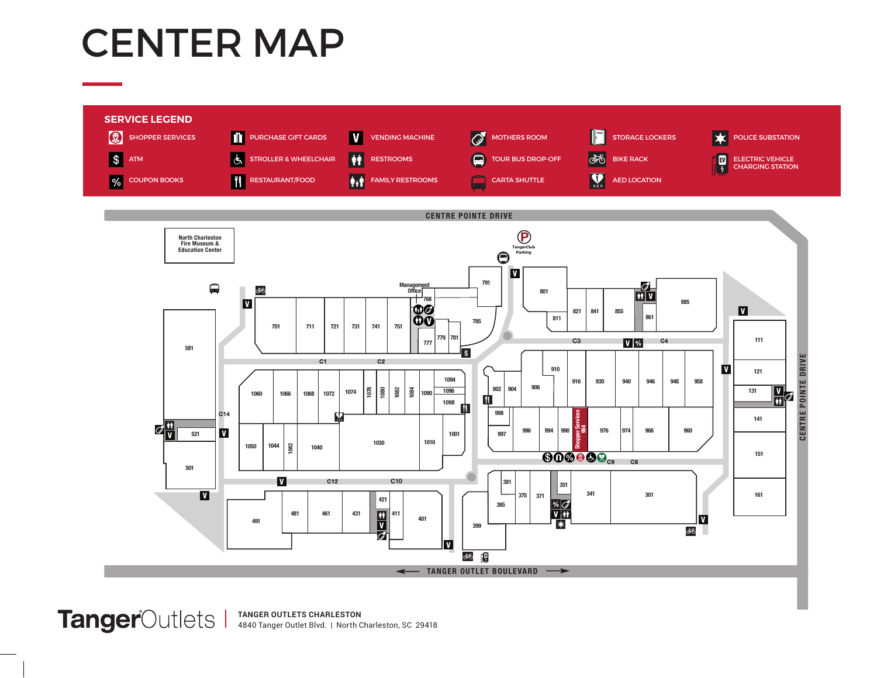## CENTER MAP



**TANGER OUTLETS CHARLESTON** 4840 Tanger Outlet Blvd. | North Charleston, SC 29418